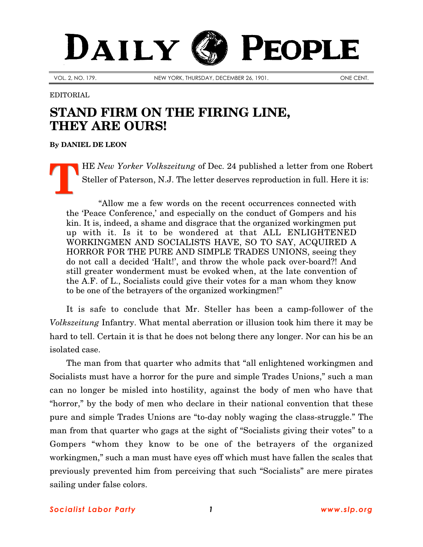## DAILY **PEOPLE**

VOL. 2, NO. 179. NEW YORK, THURSDAY, DECEMBER 26, 1901. ONE CENT.

## EDITORIAL

## **STAND FIRM ON THE FIRING LINE, THEY ARE OURS!**

**By [DANIEL DE LEON](http://slp.org/De_Leon.htm)**

HE *New Yorker Volkszeitung* of Dec. 24 published a letter from one Robert Steller of Paterson, N.J. The letter deserves reproduction in full. Here it is: **T**

"Allow me a few words on the recent occurrences connected with the 'Peace Conference,' and especially on the conduct of Gompers and his kin. It is, indeed, a shame and disgrace that the organized workingmen put up with it. Is it to be wondered at that ALL ENLIGHTENED WORKINGMEN AND SOCIALISTS HAVE, SO TO SAY, ACQUIRED A HORROR FOR THE PURE AND SIMPLE TRADES UNIONS, seeing they do not call a decided 'Halt!', and throw the whole pack over-board?! And still greater wonderment must be evoked when, at the late convention of the A.F. of L., Socialists could give their votes for a man whom they know to be one of the betrayers of the organized workingmen!"

It is safe to conclude that Mr. Steller has been a camp-follower of the *Volkszeitung* Infantry. What mental aberration or illusion took him there it may be hard to tell. Certain it is that he does not belong there any longer. Nor can his be an isolated case.

The man from that quarter who admits that "all enlightened workingmen and Socialists must have a horror for the pure and simple Trades Unions," such a man can no longer be misled into hostility, against the body of men who have that "horror," by the body of men who declare in their national convention that these pure and simple Trades Unions are "to-day nobly waging the class-struggle." The man from that quarter who gags at the sight of "Socialists giving their votes" to a Gompers "whom they know to be one of the betrayers of the organized workingmen," such a man must have eyes off which must have fallen the scales that previously prevented him from perceiving that such "Socialists" are mere pirates sailing under false colors.